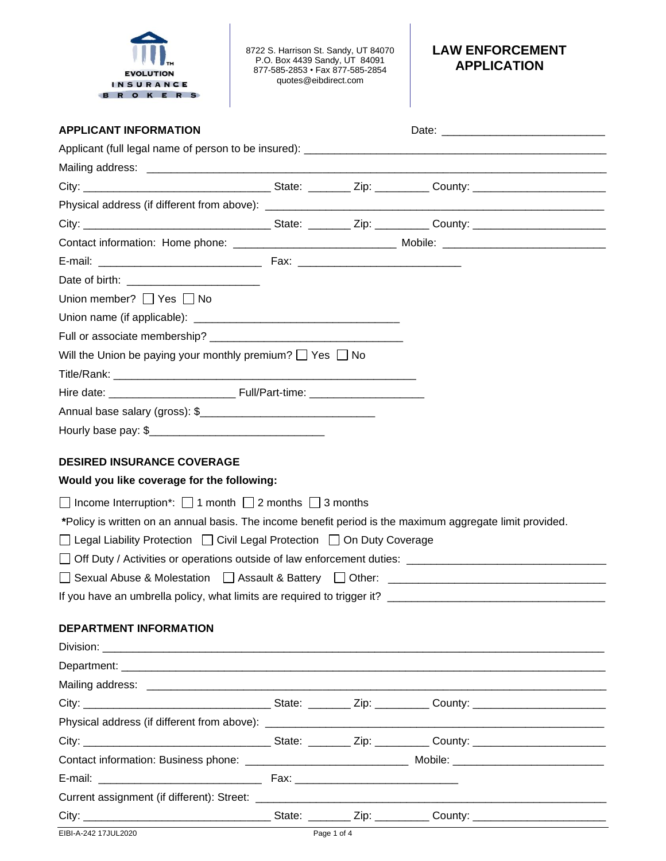

8722 S. Harrison St. Sandy, UT 84070 P.O. Box 4439 Sandy, UT 84091 877-585-2853 • Fax 877-585-2854 quotes@eibdirect.com

## **LAW ENFORCEMENT APPLICATION**

| <b>APPLICANT INFORMATION</b>                                                                              |  |                                                                                  |
|-----------------------------------------------------------------------------------------------------------|--|----------------------------------------------------------------------------------|
|                                                                                                           |  |                                                                                  |
|                                                                                                           |  |                                                                                  |
|                                                                                                           |  |                                                                                  |
|                                                                                                           |  |                                                                                  |
|                                                                                                           |  |                                                                                  |
|                                                                                                           |  |                                                                                  |
|                                                                                                           |  |                                                                                  |
|                                                                                                           |  |                                                                                  |
| Union member? $\Box$ Yes $\Box$ No                                                                        |  |                                                                                  |
|                                                                                                           |  |                                                                                  |
|                                                                                                           |  |                                                                                  |
| Will the Union be paying your monthly premium? $\Box$ Yes $\Box$ No                                       |  |                                                                                  |
|                                                                                                           |  |                                                                                  |
|                                                                                                           |  |                                                                                  |
|                                                                                                           |  |                                                                                  |
|                                                                                                           |  |                                                                                  |
|                                                                                                           |  |                                                                                  |
| <b>DESIRED INSURANCE COVERAGE</b>                                                                         |  |                                                                                  |
| Would you like coverage for the following:                                                                |  |                                                                                  |
| $\Box$ Income Interruption*: $\Box$ 1 month $\Box$ 2 months $\Box$ 3 months                               |  |                                                                                  |
| *Policy is written on an annual basis. The income benefit period is the maximum aggregate limit provided. |  |                                                                                  |
| □ Legal Liability Protection □ Civil Legal Protection □ On Duty Coverage                                  |  |                                                                                  |
|                                                                                                           |  |                                                                                  |
|                                                                                                           |  | □ Sexual Abuse & Molestation □ Assault & Battery □ Other: ______________________ |
|                                                                                                           |  |                                                                                  |
|                                                                                                           |  |                                                                                  |
| <b>DEPARTMENT INFORMATION</b>                                                                             |  |                                                                                  |
|                                                                                                           |  |                                                                                  |
|                                                                                                           |  |                                                                                  |
|                                                                                                           |  |                                                                                  |
|                                                                                                           |  |                                                                                  |
|                                                                                                           |  |                                                                                  |
|                                                                                                           |  |                                                                                  |
|                                                                                                           |  |                                                                                  |
|                                                                                                           |  |                                                                                  |
|                                                                                                           |  |                                                                                  |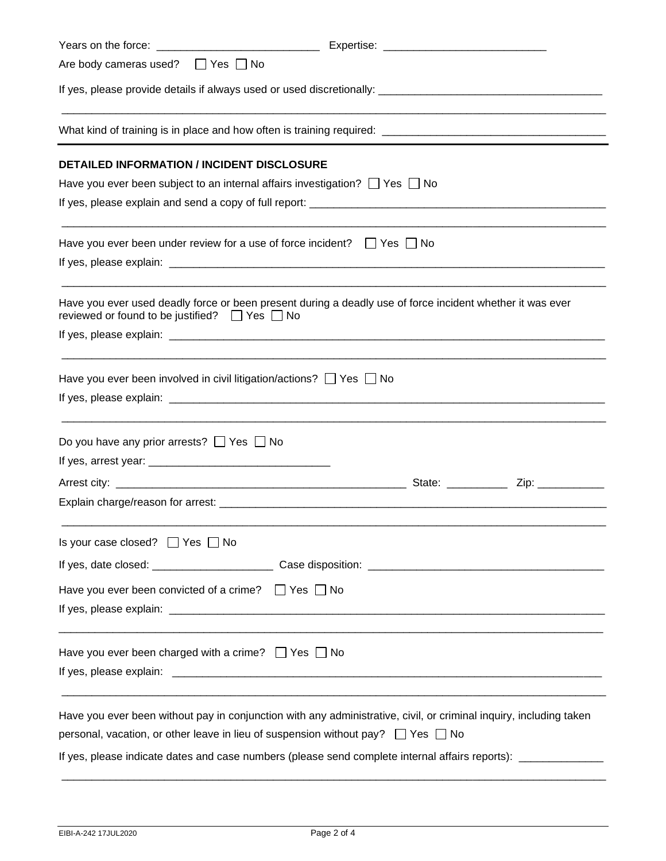| Are body cameras used? □ Yes □ No                       |                                                                                                                                                                                                                                                                                                                                   |  |  |  |
|---------------------------------------------------------|-----------------------------------------------------------------------------------------------------------------------------------------------------------------------------------------------------------------------------------------------------------------------------------------------------------------------------------|--|--|--|
|                                                         |                                                                                                                                                                                                                                                                                                                                   |  |  |  |
|                                                         |                                                                                                                                                                                                                                                                                                                                   |  |  |  |
|                                                         | <b>DETAILED INFORMATION / INCIDENT DISCLOSURE</b>                                                                                                                                                                                                                                                                                 |  |  |  |
|                                                         | Have you ever been subject to an internal affairs investigation? $\Box$ Yes $\Box$ No                                                                                                                                                                                                                                             |  |  |  |
|                                                         |                                                                                                                                                                                                                                                                                                                                   |  |  |  |
|                                                         | Have you ever been under review for a use of force incident? $\Box$ Yes $\Box$ No                                                                                                                                                                                                                                                 |  |  |  |
|                                                         |                                                                                                                                                                                                                                                                                                                                   |  |  |  |
| reviewed or found to be justified? $\Box$ Yes $\Box$ No | Have you ever used deadly force or been present during a deadly use of force incident whether it was ever                                                                                                                                                                                                                         |  |  |  |
|                                                         |                                                                                                                                                                                                                                                                                                                                   |  |  |  |
|                                                         | Have you ever been involved in civil litigation/actions? $\Box$ Yes $\Box$ No                                                                                                                                                                                                                                                     |  |  |  |
| Do you have any prior arrests? $\Box$ Yes $\Box$ No     |                                                                                                                                                                                                                                                                                                                                   |  |  |  |
|                                                         |                                                                                                                                                                                                                                                                                                                                   |  |  |  |
|                                                         |                                                                                                                                                                                                                                                                                                                                   |  |  |  |
| Is your case closed? $\Box$ Yes $\Box$ No               |                                                                                                                                                                                                                                                                                                                                   |  |  |  |
|                                                         |                                                                                                                                                                                                                                                                                                                                   |  |  |  |
|                                                         | Have you ever been convicted of a crime? $\Box$ Yes $\Box$ No                                                                                                                                                                                                                                                                     |  |  |  |
|                                                         | Have you ever been charged with a crime? $\Box$ Yes $\Box$ No                                                                                                                                                                                                                                                                     |  |  |  |
|                                                         | Have you ever been without pay in conjunction with any administrative, civil, or criminal inquiry, including taken<br>personal, vacation, or other leave in lieu of suspension without pay? $\Box$ Yes $\Box$ No<br>If yes, please indicate dates and case numbers (please send complete internal affairs reports): _____________ |  |  |  |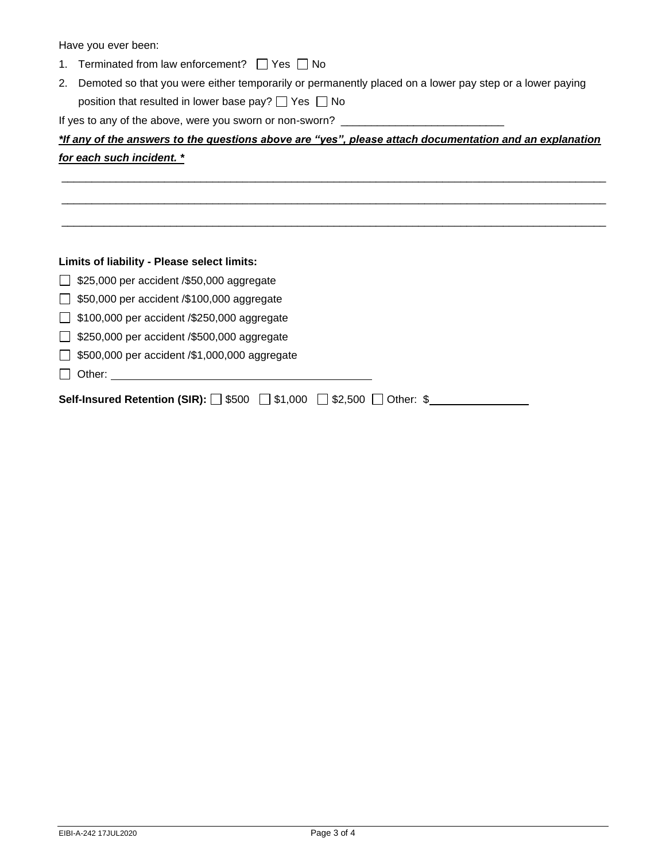Have you ever been:

- 1. Terminated from law enforcement?  $\Box$  Yes  $\Box$  No
- 2. Demoted so that you were either temporarily or permanently placed on a lower pay step or a lower paying position that resulted in lower base pay?  $\Box$  Yes  $\Box$  No

If yes to any of the above, were you sworn or non-sworn? \_\_\_\_\_\_\_\_\_\_\_\_\_\_\_\_\_\_\_\_\_\_\_\_

|                           | *If any of the answers to the questions above are "yes", please attach documentation and an explanation |  |  |
|---------------------------|---------------------------------------------------------------------------------------------------------|--|--|
| for each such incident. * |                                                                                                         |  |  |

\_\_\_\_\_\_\_\_\_\_\_\_\_\_\_\_\_\_\_\_\_\_\_\_\_\_\_\_\_\_\_\_\_\_\_\_\_\_\_\_\_\_\_\_\_\_\_\_\_\_\_\_\_\_\_\_\_\_\_\_\_\_\_\_\_\_\_\_\_\_\_\_\_\_\_\_\_\_\_\_\_\_\_\_\_\_\_\_\_\_

\_\_\_\_\_\_\_\_\_\_\_\_\_\_\_\_\_\_\_\_\_\_\_\_\_\_\_\_\_\_\_\_\_\_\_\_\_\_\_\_\_\_\_\_\_\_\_\_\_\_\_\_\_\_\_\_\_\_\_\_\_\_\_\_\_\_\_\_\_\_\_\_\_\_\_\_\_\_\_\_\_\_\_\_\_\_\_\_\_\_

\_\_\_\_\_\_\_\_\_\_\_\_\_\_\_\_\_\_\_\_\_\_\_\_\_\_\_\_\_\_\_\_\_\_\_\_\_\_\_\_\_\_\_\_\_\_\_\_\_\_\_\_\_\_\_\_\_\_\_\_\_\_\_\_\_\_\_\_\_\_\_\_\_\_\_\_\_\_\_\_\_\_\_\_\_\_\_\_\_\_

| Limits of liability - Please select limits:                                                      |  |  |  |  |
|--------------------------------------------------------------------------------------------------|--|--|--|--|
| $\Box$ \$25,000 per accident /\$50,000 aggregate                                                 |  |  |  |  |
| $\Box$ \$50,000 per accident /\$100,000 aggregate                                                |  |  |  |  |
| $\Box$ \$100,000 per accident /\$250,000 aggregate                                               |  |  |  |  |
| $\Box$ \$250,000 per accident /\$500,000 aggregate                                               |  |  |  |  |
| $\Box$ \$500,000 per accident /\$1,000,000 aggregate                                             |  |  |  |  |
| Other:                                                                                           |  |  |  |  |
| <b>Self-Insured Retention (SIR):</b> $\Box$ \$500 $\Box$ \$1,000 $\Box$ \$2,500 $\Box$ Other: \$ |  |  |  |  |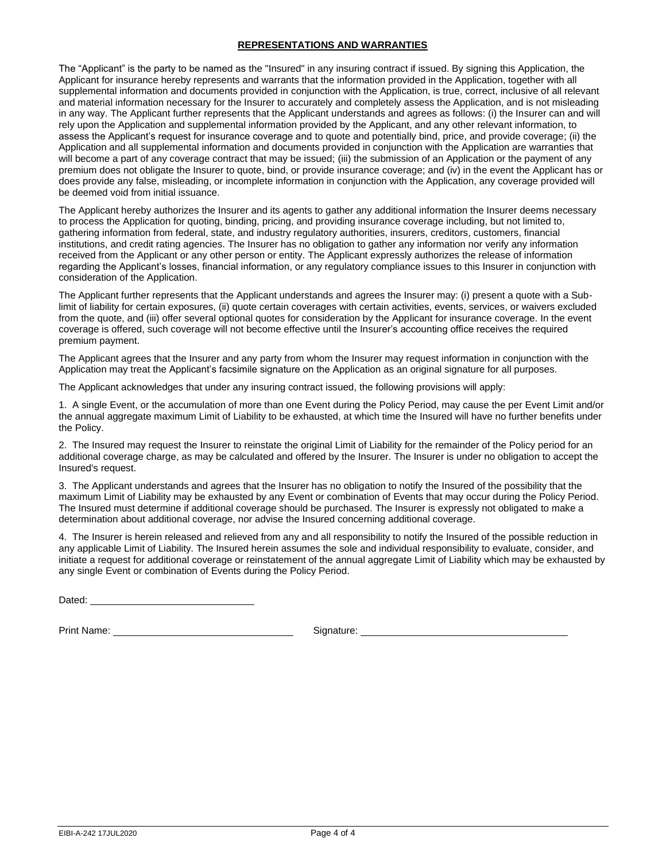## **REPRESENTATIONS AND WARRANTIES**

The "Applicant" is the party to be named as the "Insured" in any insuring contract if issued. By signing this Application, the Applicant for insurance hereby represents and warrants that the information provided in the Application, together with all supplemental information and documents provided in conjunction with the Application, is true, correct, inclusive of all relevant and material information necessary for the Insurer to accurately and completely assess the Application, and is not misleading in any way. The Applicant further represents that the Applicant understands and agrees as follows: (i) the Insurer can and will rely upon the Application and supplemental information provided by the Applicant, and any other relevant information, to assess the Applicant's request for insurance coverage and to quote and potentially bind, price, and provide coverage; (ii) the Application and all supplemental information and documents provided in conjunction with the Application are warranties that will become a part of any coverage contract that may be issued; (iii) the submission of an Application or the payment of any premium does not obligate the Insurer to quote, bind, or provide insurance coverage; and (iv) in the event the Applicant has or does provide any false, misleading, or incomplete information in conjunction with the Application, any coverage provided will be deemed void from initial issuance.

The Applicant hereby authorizes the Insurer and its agents to gather any additional information the Insurer deems necessary to process the Application for quoting, binding, pricing, and providing insurance coverage including, but not limited to, gathering information from federal, state, and industry regulatory authorities, insurers, creditors, customers, financial institutions, and credit rating agencies. The Insurer has no obligation to gather any information nor verify any information received from the Applicant or any other person or entity. The Applicant expressly authorizes the release of information regarding the Applicant's losses, financial information, or any regulatory compliance issues to this Insurer in conjunction with consideration of the Application.

The Applicant further represents that the Applicant understands and agrees the Insurer may: (i) present a quote with a Sublimit of liability for certain exposures, (ii) quote certain coverages with certain activities, events, services, or waivers excluded from the quote, and (iii) offer several optional quotes for consideration by the Applicant for insurance coverage. In the event coverage is offered, such coverage will not become effective until the Insurer's accounting office receives the required premium payment.

The Applicant agrees that the Insurer and any party from whom the Insurer may request information in conjunction with the Application may treat the Applicant's facsimile signature on the Application as an original signature for all purposes.

The Applicant acknowledges that under any insuring contract issued, the following provisions will apply:

1. A single Event, or the accumulation of more than one Event during the Policy Period, may cause the per Event Limit and/or the annual aggregate maximum Limit of Liability to be exhausted, at which time the Insured will have no further benefits under the Policy.

2. The Insured may request the Insurer to reinstate the original Limit of Liability for the remainder of the Policy period for an additional coverage charge, as may be calculated and offered by the Insurer. The Insurer is under no obligation to accept the Insured's request.

3. The Applicant understands and agrees that the Insurer has no obligation to notify the Insured of the possibility that the maximum Limit of Liability may be exhausted by any Event or combination of Events that may occur during the Policy Period. The Insured must determine if additional coverage should be purchased. The Insurer is expressly not obligated to make a determination about additional coverage, nor advise the Insured concerning additional coverage.

4. The Insurer is herein released and relieved from any and all responsibility to notify the Insured of the possible reduction in any applicable Limit of Liability. The Insured herein assumes the sole and individual responsibility to evaluate, consider, and initiate a request for additional coverage or reinstatement of the annual aggregate Limit of Liability which may be exhausted by any single Event or combination of Events during the Policy Period.

Dated: **Dated: Dated: Date of Property 2006** 

Print Name: Signature: Signature: Signature: Signature: Signature: Signature: Signature: Signature: Signature: Signature: Signature: Signature: Signature: Signature: Signature: Signature: Signature: Signature: Signature: S